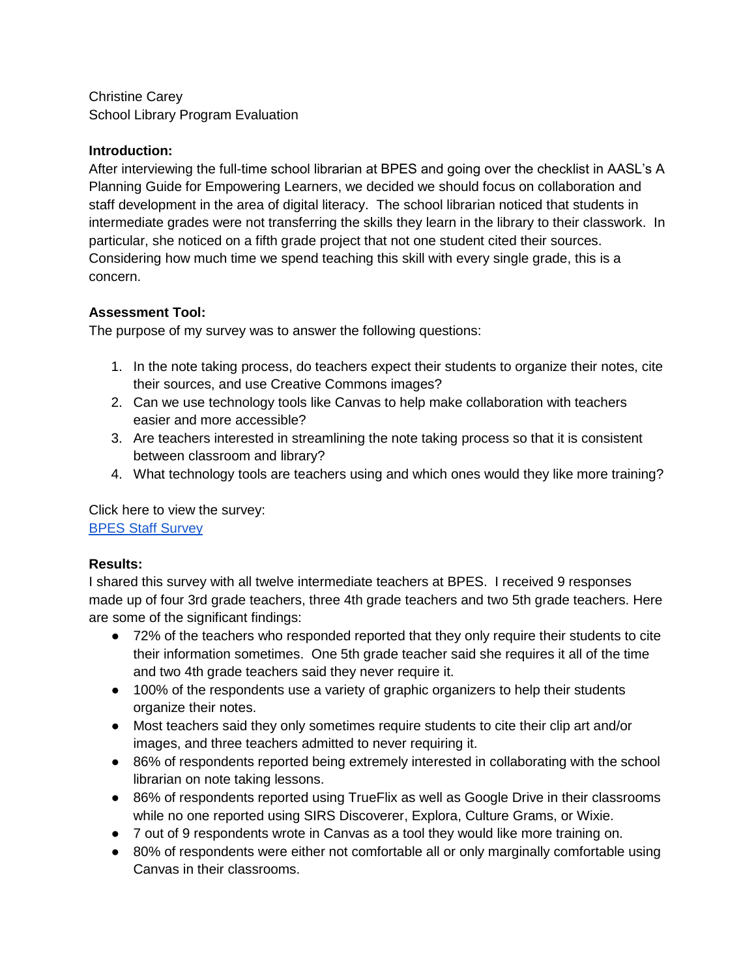Christine Carey School Library Program Evaluation

### **Introduction:**

After interviewing the full-time school librarian at BPES and going over the checklist in AASL's A Planning Guide for Empowering Learners, we decided we should focus on collaboration and staff development in the area of digital literacy. The school librarian noticed that students in intermediate grades were not transferring the skills they learn in the library to their classwork. In particular, she noticed on a fifth grade project that not one student cited their sources. Considering how much time we spend teaching this skill with every single grade, this is a concern.

# **Assessment Tool:**

The purpose of my survey was to answer the following questions:

- 1. In the note taking process, do teachers expect their students to organize their notes, cite their sources, and use Creative Commons images?
- 2. Can we use technology tools like Canvas to help make collaboration with teachers easier and more accessible?
- 3. Are teachers interested in streamlining the note taking process so that it is consistent between classroom and library?
- 4. What technology tools are teachers using and which ones would they like more training?

Click here to view the survey: [BPES Staff Survey](https://docs.google.com/forms/d/15Ah1OgXPSWXhtHhp_usZedkcJme5W6Z-gcOuXnpsBhM/edit?usp=sharing)

# **Results:**

I shared this survey with all twelve intermediate teachers at BPES. I received 9 responses made up of four 3rd grade teachers, three 4th grade teachers and two 5th grade teachers. Here are some of the significant findings:

- 72% of the teachers who responded reported that they only require their students to cite their information sometimes. One 5th grade teacher said she requires it all of the time and two 4th grade teachers said they never require it.
- 100% of the respondents use a variety of graphic organizers to help their students organize their notes.
- Most teachers said they only sometimes require students to cite their clip art and/or images, and three teachers admitted to never requiring it.
- 86% of respondents reported being extremely interested in collaborating with the school librarian on note taking lessons.
- 86% of respondents reported using TrueFlix as well as Google Drive in their classrooms while no one reported using SIRS Discoverer, Explora, Culture Grams, or Wixie.
- 7 out of 9 respondents wrote in Canvas as a tool they would like more training on.
- 80% of respondents were either not comfortable all or only marginally comfortable using Canvas in their classrooms.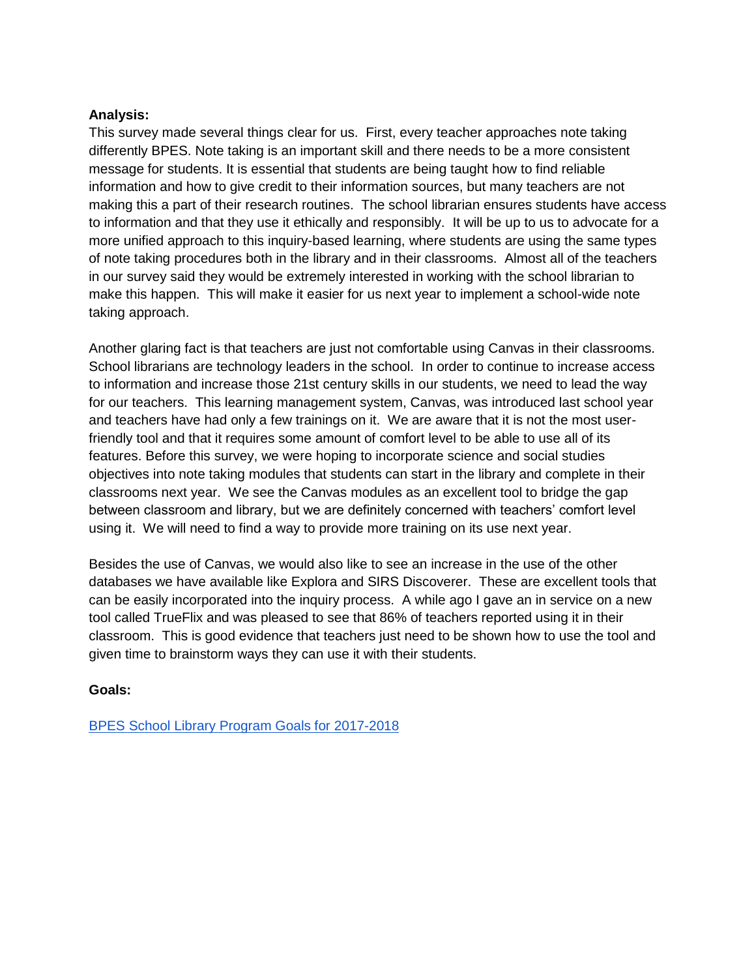#### **Analysis:**

This survey made several things clear for us. First, every teacher approaches note taking differently BPES. Note taking is an important skill and there needs to be a more consistent message for students. It is essential that students are being taught how to find reliable information and how to give credit to their information sources, but many teachers are not making this a part of their research routines. The school librarian ensures students have access to information and that they use it ethically and responsibly. It will be up to us to advocate for a more unified approach to this inquiry-based learning, where students are using the same types of note taking procedures both in the library and in their classrooms. Almost all of the teachers in our survey said they would be extremely interested in working with the school librarian to make this happen. This will make it easier for us next year to implement a school-wide note taking approach.

Another glaring fact is that teachers are just not comfortable using Canvas in their classrooms. School librarians are technology leaders in the school. In order to continue to increase access to information and increase those 21st century skills in our students, we need to lead the way for our teachers. This learning management system, Canvas, was introduced last school year and teachers have had only a few trainings on it. We are aware that it is not the most userfriendly tool and that it requires some amount of comfort level to be able to use all of its features. Before this survey, we were hoping to incorporate science and social studies objectives into note taking modules that students can start in the library and complete in their classrooms next year. We see the Canvas modules as an excellent tool to bridge the gap between classroom and library, but we are definitely concerned with teachers' comfort level using it. We will need to find a way to provide more training on its use next year.

Besides the use of Canvas, we would also like to see an increase in the use of the other databases we have available like Explora and SIRS Discoverer. These are excellent tools that can be easily incorporated into the inquiry process. A while ago I gave an in service on a new tool called TrueFlix and was pleased to see that 86% of teachers reported using it in their classroom. This is good evidence that teachers just need to be shown how to use the tool and given time to brainstorm ways they can use it with their students.

#### **Goals:**

[BPES School Library Program Goals for 2017-2018](https://docs.google.com/presentation/d/1gHgwcglog6_uefmK_KARExEPgtkqhigm-6ngX2pOxrw/edit?usp=sharing)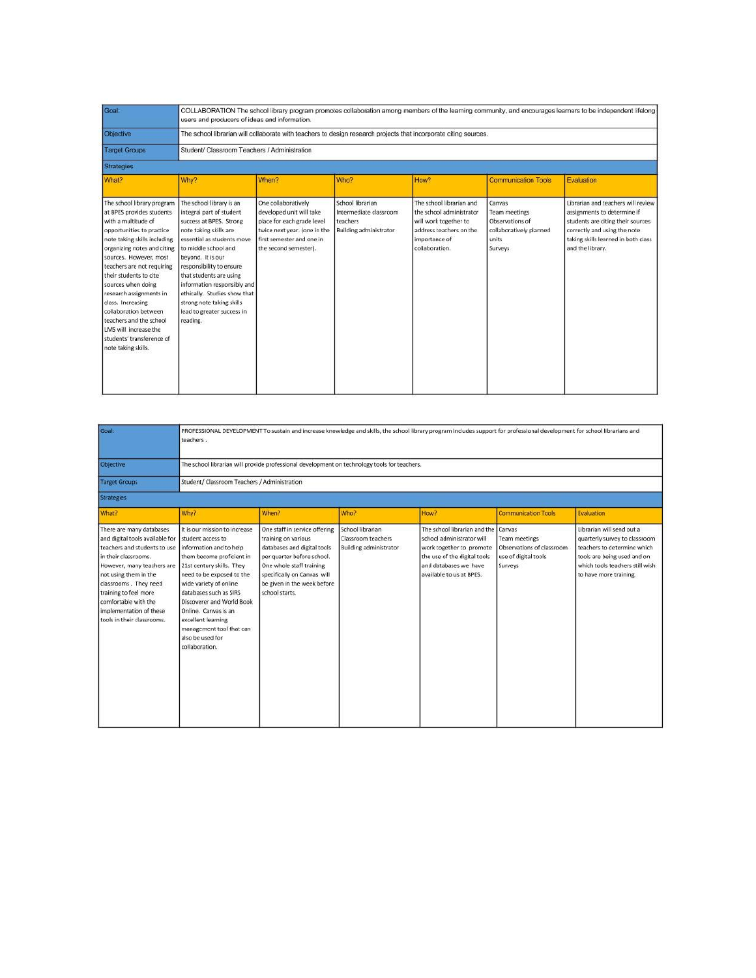| Goal:                                                                                                                                                                                                                                                                                                                                                                                                                                                               | COLLABORATION The school library program promotes collaboration among members of the learning community, and encourages learners to be independent lifelong<br>users and producers of ideas and information.<br>The school librarian will collaborate with teachers to design research projects that incorporate citing sources.                                                  |                                                                                                                                                                     |                                                                                         |                                                                                                                                             |                                                                                                  |                                                                                                                                                                                                   |  |
|---------------------------------------------------------------------------------------------------------------------------------------------------------------------------------------------------------------------------------------------------------------------------------------------------------------------------------------------------------------------------------------------------------------------------------------------------------------------|-----------------------------------------------------------------------------------------------------------------------------------------------------------------------------------------------------------------------------------------------------------------------------------------------------------------------------------------------------------------------------------|---------------------------------------------------------------------------------------------------------------------------------------------------------------------|-----------------------------------------------------------------------------------------|---------------------------------------------------------------------------------------------------------------------------------------------|--------------------------------------------------------------------------------------------------|---------------------------------------------------------------------------------------------------------------------------------------------------------------------------------------------------|--|
| Objective                                                                                                                                                                                                                                                                                                                                                                                                                                                           |                                                                                                                                                                                                                                                                                                                                                                                   |                                                                                                                                                                     |                                                                                         |                                                                                                                                             |                                                                                                  |                                                                                                                                                                                                   |  |
| <b>Target Groups</b>                                                                                                                                                                                                                                                                                                                                                                                                                                                | Student/ Classroom Teachers / Administration                                                                                                                                                                                                                                                                                                                                      |                                                                                                                                                                     |                                                                                         |                                                                                                                                             |                                                                                                  |                                                                                                                                                                                                   |  |
| Strategies                                                                                                                                                                                                                                                                                                                                                                                                                                                          |                                                                                                                                                                                                                                                                                                                                                                                   |                                                                                                                                                                     |                                                                                         |                                                                                                                                             |                                                                                                  |                                                                                                                                                                                                   |  |
| What?                                                                                                                                                                                                                                                                                                                                                                                                                                                               | Why?                                                                                                                                                                                                                                                                                                                                                                              | When?                                                                                                                                                               | Who?                                                                                    | How?                                                                                                                                        | <b>Communication Tools</b>                                                                       | Evaluation                                                                                                                                                                                        |  |
| The school library program<br>at BPES provides students<br>with a multitude of<br>opportunities to practice<br>note taking skills including<br>organizing notes and citing<br>sources. However, most<br>teachers are not requiring<br>their students to cite<br>sources when doing<br>research assignments in<br>class. Increasing<br>collaboration between<br>teachers and the school<br>LMS will increase the<br>students' transference of<br>note taking skills. | The school library is an<br>integral part of student<br>success at BPES. Strong<br>note taking skills are<br>essential as students move<br>to middle school and<br>beyond. It is our<br>responsibility to ensure<br>that students are using<br>information responsibly and<br>ethically. Studies show that<br>strong note taking skills<br>lead to greater success in<br>reading. | One collaboratively<br>developed unit will take<br>place for each grade level<br>twice next year. (one in the<br>first semester and one in<br>the second semester). | School librarian<br>Intermediate classroom<br>teachers<br><b>Building administrator</b> | The school librarian and<br>the school administrator<br>will work together to<br>address teachers on the<br>importance of<br>collaboration. | Canvas<br><b>Team meetings</b><br>Observations of<br>collaboratively planned<br>units<br>Surveys | Librarian and teachers will review<br>assignments to determine if<br>students are citing their sources<br>correctly and using the note<br>taking skills learned in both class<br>and the library. |  |

| Goal:                                                                                                                                                                                                                                                                                                         | PROFESSIONAL DEVELOPMENT To sustain and increase knowledge and skills, the school library program includes support for professional development for school librarians and<br>teachers.                                                                                                                                                                                |                                                                                                                                                                                                                                |                                                                         |                                                                                                                                                                                   |                                                                                      |                                                                                                                                                                                       |
|---------------------------------------------------------------------------------------------------------------------------------------------------------------------------------------------------------------------------------------------------------------------------------------------------------------|-----------------------------------------------------------------------------------------------------------------------------------------------------------------------------------------------------------------------------------------------------------------------------------------------------------------------------------------------------------------------|--------------------------------------------------------------------------------------------------------------------------------------------------------------------------------------------------------------------------------|-------------------------------------------------------------------------|-----------------------------------------------------------------------------------------------------------------------------------------------------------------------------------|--------------------------------------------------------------------------------------|---------------------------------------------------------------------------------------------------------------------------------------------------------------------------------------|
| Objective                                                                                                                                                                                                                                                                                                     | The school librarian will provide professional development on technology tools for teachers.                                                                                                                                                                                                                                                                          |                                                                                                                                                                                                                                |                                                                         |                                                                                                                                                                                   |                                                                                      |                                                                                                                                                                                       |
| <b>Target Groups</b>                                                                                                                                                                                                                                                                                          | Student/ Classroom Teachers / Administration                                                                                                                                                                                                                                                                                                                          |                                                                                                                                                                                                                                |                                                                         |                                                                                                                                                                                   |                                                                                      |                                                                                                                                                                                       |
| <b>Strategies</b>                                                                                                                                                                                                                                                                                             |                                                                                                                                                                                                                                                                                                                                                                       |                                                                                                                                                                                                                                |                                                                         |                                                                                                                                                                                   |                                                                                      |                                                                                                                                                                                       |
| What?                                                                                                                                                                                                                                                                                                         | Why?                                                                                                                                                                                                                                                                                                                                                                  | When?                                                                                                                                                                                                                          | Who?                                                                    | How?                                                                                                                                                                              | <b>Communication Tools</b>                                                           | Evaluation                                                                                                                                                                            |
| There are many databases<br>and digital tools available for<br>teachers and students to use<br>in their classrooms.<br>However, many teachers are<br>not using them in the<br>classrooms. They need<br>training to feel more<br>comfortable with the<br>implementation of these<br>tools in their classrooms. | It is our mission to increase<br>student access to<br>information and to help<br>them become proficient in<br>21st century skills. They<br>need to be exposed to the<br>wide variety of online<br>databases such as SIRS<br>Discoverer and World Book<br>Online. Canvas is an<br>excellent learning<br>management tool that can<br>also be used for<br>collaboration. | One staff in service offering<br>training on various<br>databases and digital tools.<br>per quarter before school.<br>One whole staff training<br>specifically on Canvas will<br>be given in the week before<br>school starts. | School librarian<br>Classroom teachers<br><b>Building administrator</b> | The school librarian and the Canvas<br>school administrator will<br>work together to promote<br>the use of the digital tools<br>and databases we have<br>available to us at BPES. | <b>Team meetings</b><br>Observations of classroom<br>use of digital tools<br>Surveys | Librarian will send out a<br>quarterly survey to classroom<br>teachers to determine which<br>tools are being used and on<br>which tools teachers still wish<br>to have more training. |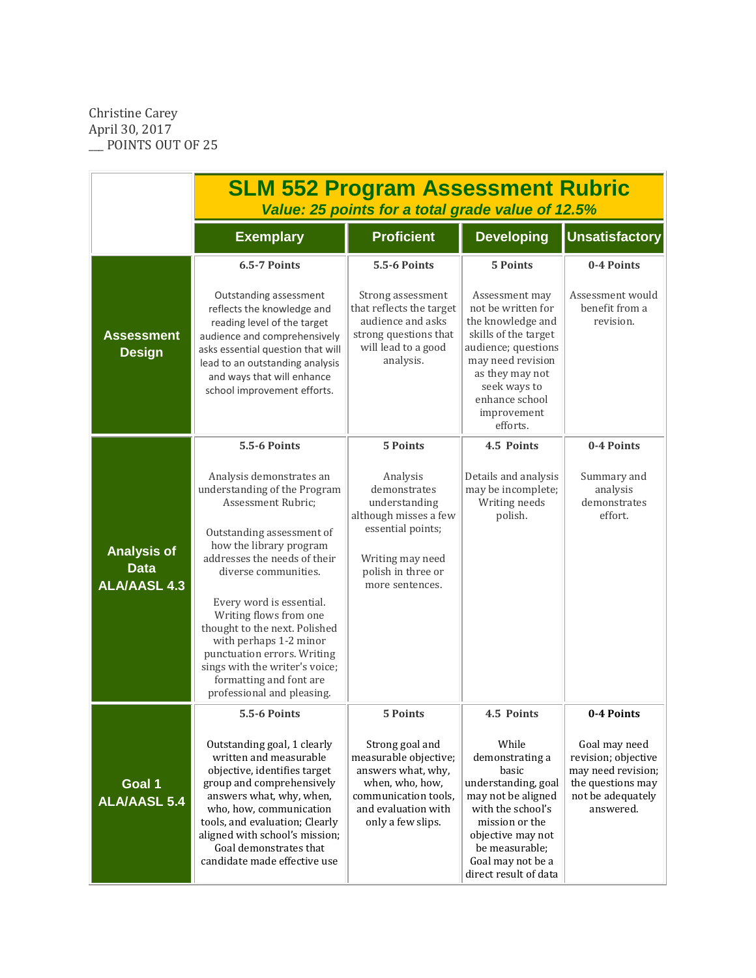Christine Carey April 30, 2017 \_\_\_ POINTS OUT OF 25

|                                                          | <b>SLM 552 Program Assessment Rubric</b><br>Value: 25 points for a total grade value of 12.5%                                                                                                                                                                                                                                                                                                                                                                    |                                                                                                                                                                          |                                                                                                                                                                                                                                  |                                                                                                                                 |  |  |
|----------------------------------------------------------|------------------------------------------------------------------------------------------------------------------------------------------------------------------------------------------------------------------------------------------------------------------------------------------------------------------------------------------------------------------------------------------------------------------------------------------------------------------|--------------------------------------------------------------------------------------------------------------------------------------------------------------------------|----------------------------------------------------------------------------------------------------------------------------------------------------------------------------------------------------------------------------------|---------------------------------------------------------------------------------------------------------------------------------|--|--|
|                                                          | <b>Exemplary</b>                                                                                                                                                                                                                                                                                                                                                                                                                                                 | <b>Proficient</b>                                                                                                                                                        | <b>Developing</b>                                                                                                                                                                                                                | <b>Unsatisfactory</b>                                                                                                           |  |  |
| <b>Assessment</b><br><b>Design</b>                       | <b>6.5-7 Points</b><br>Outstanding assessment<br>reflects the knowledge and<br>reading level of the target<br>audience and comprehensively<br>asks essential question that will<br>lead to an outstanding analysis<br>and ways that will enhance<br>school improvement efforts.                                                                                                                                                                                  | <b>5.5-6 Points</b><br>Strong assessment<br>that reflects the target<br>audience and asks<br>strong questions that<br>will lead to a good<br>analysis.                   | <b>5 Points</b><br>Assessment may<br>not be written for<br>the knowledge and<br>skills of the target<br>audience; questions<br>may need revision<br>as they may not<br>seek ways to<br>enhance school<br>improvement<br>efforts. | 0-4 Points<br>Assessment would<br>benefit from a<br>revision.                                                                   |  |  |
| <b>Analysis of</b><br><b>Data</b><br><b>ALA/AASL 4.3</b> | <b>5.5-6 Points</b><br>Analysis demonstrates an<br>understanding of the Program<br>Assessment Rubric;<br>Outstanding assessment of<br>how the library program<br>addresses the needs of their<br>diverse communities.<br>Every word is essential.<br>Writing flows from one<br>thought to the next. Polished<br>with perhaps 1-2 minor<br>punctuation errors. Writing<br>sings with the writer's voice;<br>formatting and font are<br>professional and pleasing. | <b>5 Points</b><br>Analysis<br>demonstrates<br>understanding<br>although misses a few<br>essential points;<br>Writing may need<br>polish in three or<br>more sentences.  | 4.5 Points<br>Details and analysis<br>may be incomplete;<br>Writing needs<br>polish.                                                                                                                                             | 0-4 Points<br>Summary and<br>analysis<br>demonstrates<br>effort.                                                                |  |  |
| Goal 1<br><b>ALA/AASL 5.4</b>                            | <b>5.5-6 Points</b><br>Outstanding goal, 1 clearly<br>written and measurable<br>objective, identifies target<br>group and comprehensively<br>answers what, why, when,<br>who, how, communication<br>tools, and evaluation; Clearly<br>aligned with school's mission;<br>Goal demonstrates that<br>candidate made effective use                                                                                                                                   | <b>5 Points</b><br>Strong goal and<br>measurable objective;<br>answers what, why,<br>when, who, how,<br>communication tools,<br>and evaluation with<br>only a few slips. | 4.5 Points<br>While<br>demonstrating a<br>basic<br>understanding, goal<br>may not be aligned<br>with the school's<br>mission or the<br>objective may not<br>be measurable;<br>Goal may not be a<br>direct result of data         | 0-4 Points<br>Goal may need<br>revision; objective<br>may need revision;<br>the questions may<br>not be adequately<br>answered. |  |  |